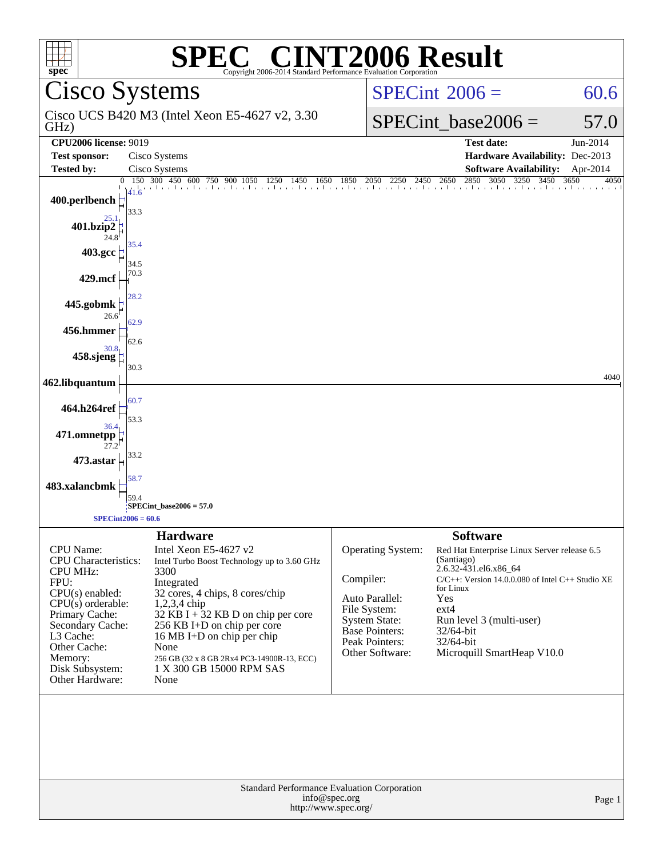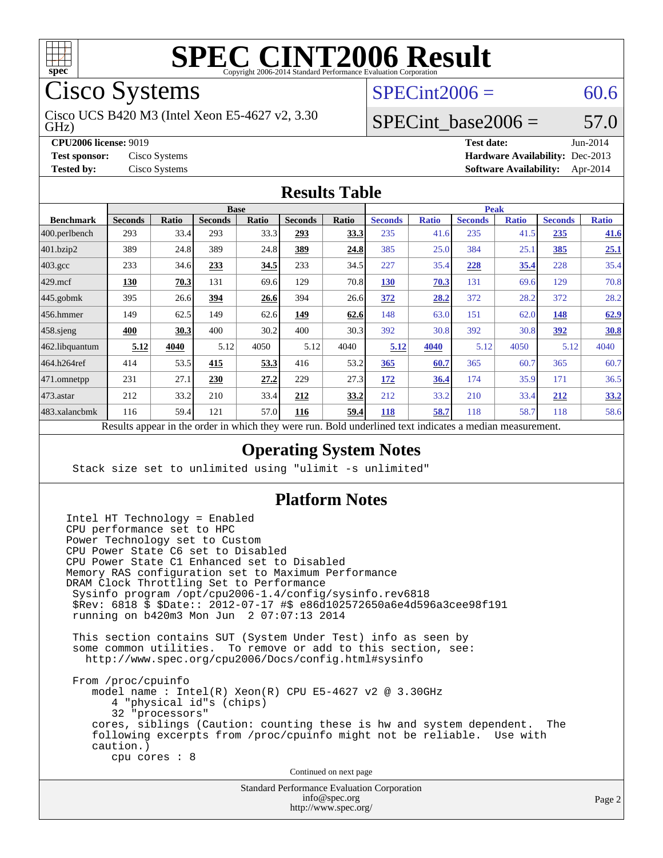

Cisco Systems

GHz) Cisco UCS B420 M3 (Intel Xeon E5-4627 v2, 3.30  $SPECint2006 = 60.6$  $SPECint2006 = 60.6$ 

### SPECint base2006 =  $57.0$

**[CPU2006 license:](http://www.spec.org/auto/cpu2006/Docs/result-fields.html#CPU2006license)** 9019 **[Test date:](http://www.spec.org/auto/cpu2006/Docs/result-fields.html#Testdate)** Jun-2014 **[Test sponsor:](http://www.spec.org/auto/cpu2006/Docs/result-fields.html#Testsponsor)** Cisco Systems **[Hardware Availability:](http://www.spec.org/auto/cpu2006/Docs/result-fields.html#HardwareAvailability)** Dec-2013 **[Tested by:](http://www.spec.org/auto/cpu2006/Docs/result-fields.html#Testedby)** Cisco Systems **[Software Availability:](http://www.spec.org/auto/cpu2006/Docs/result-fields.html#SoftwareAvailability)** Apr-2014

#### **[Results Table](http://www.spec.org/auto/cpu2006/Docs/result-fields.html#ResultsTable)**

|                  | <b>Base</b>                                       |       |                |              |                |              |                                                            | <b>Peak</b>  |                |              |                |              |  |
|------------------|---------------------------------------------------|-------|----------------|--------------|----------------|--------------|------------------------------------------------------------|--------------|----------------|--------------|----------------|--------------|--|
| <b>Benchmark</b> | <b>Seconds</b>                                    | Ratio | <b>Seconds</b> | <b>Ratio</b> | <b>Seconds</b> | <b>Ratio</b> | <b>Seconds</b>                                             | <b>Ratio</b> | <b>Seconds</b> | <b>Ratio</b> | <b>Seconds</b> | <b>Ratio</b> |  |
| 400.perlbench    | 293                                               | 33.4  | 293            | 33.3         | 293            | 33.3         | 235                                                        | 41.6         | 235            | 41.5         | 235            | 41.6         |  |
| 401.bzip2        | 389                                               | 24.8  | 389            | 24.8         | 389            | 24.8         | 385                                                        | 25.0         | 384            | 25.1         | 385            | 25.1         |  |
| $403.\text{gcc}$ | 233                                               | 34.6  | 233            | 34.5         | 233            | 34.5         | 227                                                        | 35.4         | 228            | 35.4         | 228            | 35.4         |  |
| $429$ .mcf       | 130                                               | 70.3  | 131            | 69.6         | 129            | 70.8         | 130                                                        | 70.3         | 131            | 69.6         | 129            | 70.8         |  |
| $445$ .gobmk     | 395                                               | 26.6  | 394            | 26.6         | 394            | 26.6         | 372                                                        | 28.2         | 372            | 28.2         | 372            | 28.2         |  |
| $456.$ hmmer     | 149                                               | 62.5  | 149            | 62.6         | 149            | 62.6         | 148                                                        | 63.0         | 151            | 62.0         | 148            | 62.9         |  |
| $458$ .sjeng     | 400                                               | 30.3  | 400            | 30.2         | 400            | 30.3         | 392                                                        | 30.8         | 392            | 30.8         | <u>392</u>     | 30.8         |  |
| 462.libquantum   | 5.12                                              | 4040  | 5.12           | 4050         | 5.12           | 4040         | 5.12                                                       | 4040         | 5.12           | 4050         | 5.12           | 4040         |  |
| 464.h264ref      | 414                                               | 53.5  | 415            | 53.3         | 416            | 53.2         | 365                                                        | 60.7         | 365            | 60.7         | 365            | 60.7         |  |
| 471.omnetpp      | 231                                               | 27.1  | 230            | 27.2         | 229            | 27.3         | 172                                                        | 36.4         | 174            | 35.9         | 171            | 36.5         |  |
| $ 473$ . astar   | 212                                               | 33.2  | 210            | 33.4         | 212            | 33.2         | 212                                                        | 33.2         | 210            | 33.4         | 212            | 33.2         |  |
| 483.xalancbmk    | 116                                               | 59.4  | 121            | 57.0         | 116            | 59.4         | 118                                                        | 58.7         | 118            | 58.7         | 118            | 58.6         |  |
|                  | Decute ennear in the order in which they were min |       |                |              |                |              | <b>Dold</b> underlined toxt indicates a modian measurement |              |                |              |                |              |  |

Results appear in the [order in which they were run.](http://www.spec.org/auto/cpu2006/Docs/result-fields.html#RunOrder) Bold underlined text [indicates a median measurement.](http://www.spec.org/auto/cpu2006/Docs/result-fields.html#Median)

#### **[Operating System Notes](http://www.spec.org/auto/cpu2006/Docs/result-fields.html#OperatingSystemNotes)**

Stack size set to unlimited using "ulimit -s unlimited"

#### **[Platform Notes](http://www.spec.org/auto/cpu2006/Docs/result-fields.html#PlatformNotes)**

Intel HT Technology = Enabled CPU performance set to HPC Power Technology set to Custom CPU Power State C6 set to Disabled CPU Power State C1 Enhanced set to Disabled Memory RAS configuration set to Maximum Performance DRAM Clock Throttling Set to Performance Sysinfo program /opt/cpu2006-1.4/config/sysinfo.rev6818 \$Rev: 6818 \$ \$Date:: 2012-07-17 #\$ e86d102572650a6e4d596a3cee98f191 running on b420m3 Mon Jun 2 07:07:13 2014 This section contains SUT (System Under Test) info as seen by some common utilities. To remove or add to this section, see: <http://www.spec.org/cpu2006/Docs/config.html#sysinfo> From /proc/cpuinfo model name : Intel(R) Xeon(R) CPU E5-4627 v2 @ 3.30GHz 4 "physical id"s (chips) 32 "processors" cores, siblings (Caution: counting these is hw and system dependent. The following excerpts from /proc/cpuinfo might not be reliable. Use with caution.) cpu cores : 8 Continued on next page

Standard Performance Evaluation Corporation [info@spec.org](mailto:info@spec.org) <http://www.spec.org/>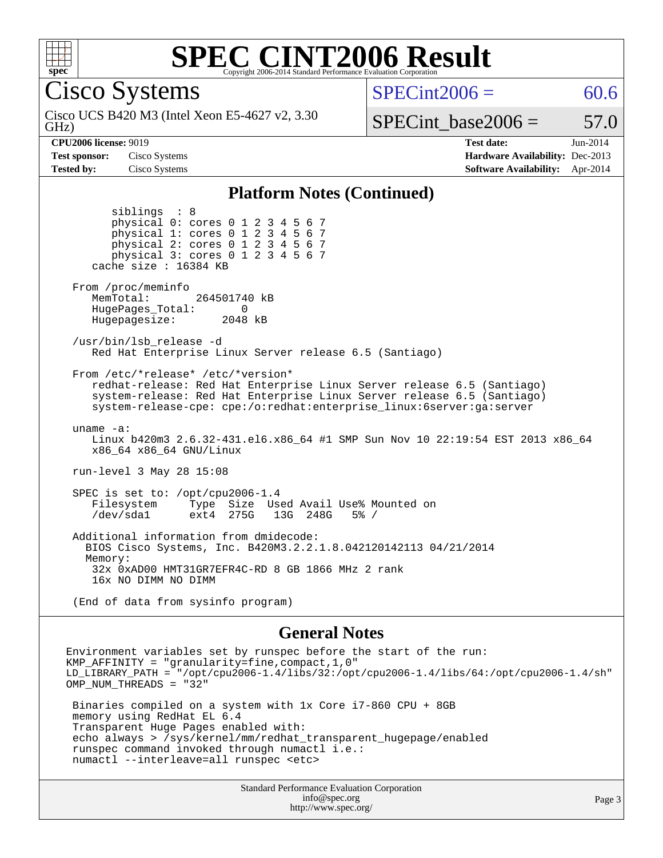

Cisco Systems

GHz) Cisco UCS B420 M3 (Intel Xeon E5-4627 v2, 3.30  $SPECint2006 = 60.6$  $SPECint2006 = 60.6$ 

### SPECint base2006 =  $57.0$

**[CPU2006 license:](http://www.spec.org/auto/cpu2006/Docs/result-fields.html#CPU2006license)** 9019 **[Test date:](http://www.spec.org/auto/cpu2006/Docs/result-fields.html#Testdate)** Jun-2014 **[Test sponsor:](http://www.spec.org/auto/cpu2006/Docs/result-fields.html#Testsponsor)** Cisco Systems **[Hardware Availability:](http://www.spec.org/auto/cpu2006/Docs/result-fields.html#HardwareAvailability)** Dec-2013 **[Tested by:](http://www.spec.org/auto/cpu2006/Docs/result-fields.html#Testedby)** Cisco Systems **[Software Availability:](http://www.spec.org/auto/cpu2006/Docs/result-fields.html#SoftwareAvailability)** Apr-2014

#### **[Platform Notes \(Continued\)](http://www.spec.org/auto/cpu2006/Docs/result-fields.html#PlatformNotes)**

 siblings : 8 physical 0: cores 0 1 2 3 4 5 6 7 physical 1: cores 0 1 2 3 4 5 6 7 physical 2: cores 0 1 2 3 4 5 6 7 physical 3: cores 0 1 2 3 4 5 6 7 cache size : 16384 KB From /proc/meminfo MemTotal: 264501740 kB HugePages\_Total: 0<br>Hugepagesize: 2048 kB Hugepagesize: /usr/bin/lsb\_release -d Red Hat Enterprise Linux Server release 6.5 (Santiago) From /etc/\*release\* /etc/\*version\* redhat-release: Red Hat Enterprise Linux Server release 6.5 (Santiago) system-release: Red Hat Enterprise Linux Server release 6.5 (Santiago) system-release-cpe: cpe:/o:redhat:enterprise\_linux:6server:ga:server uname -a: Linux b420m3 2.6.32-431.el6.x86\_64 #1 SMP Sun Nov 10 22:19:54 EST 2013 x86\_64 x86\_64 x86\_64 GNU/Linux run-level 3 May 28 15:08 SPEC is set to: /opt/cpu2006-1.4 Filesystem Type Size Used Avail Use% Mounted on<br>
/dev/sda1 ext4 275G 13G 248G 5% / 13G 248G Additional information from dmidecode: BIOS Cisco Systems, Inc. B420M3.2.2.1.8.042120142113 04/21/2014 Memory: 32x 0xAD00 HMT31GR7EFR4C-RD 8 GB 1866 MHz 2 rank 16x NO DIMM NO DIMM (End of data from sysinfo program)

#### **[General Notes](http://www.spec.org/auto/cpu2006/Docs/result-fields.html#GeneralNotes)**

Environment variables set by runspec before the start of the run: KMP\_AFFINITY = "granularity=fine,compact,1,0" LD\_LIBRARY\_PATH = "/opt/cpu2006-1.4/libs/32:/opt/cpu2006-1.4/libs/64:/opt/cpu2006-1.4/sh" OMP\_NUM\_THREADS = "32" Binaries compiled on a system with 1x Core i7-860 CPU + 8GB memory using RedHat EL 6.4 Transparent Huge Pages enabled with: echo always > /sys/kernel/mm/redhat\_transparent\_hugepage/enabled runspec command invoked through numactl i.e.: numactl --interleave=all runspec <etc>

> Standard Performance Evaluation Corporation [info@spec.org](mailto:info@spec.org) <http://www.spec.org/>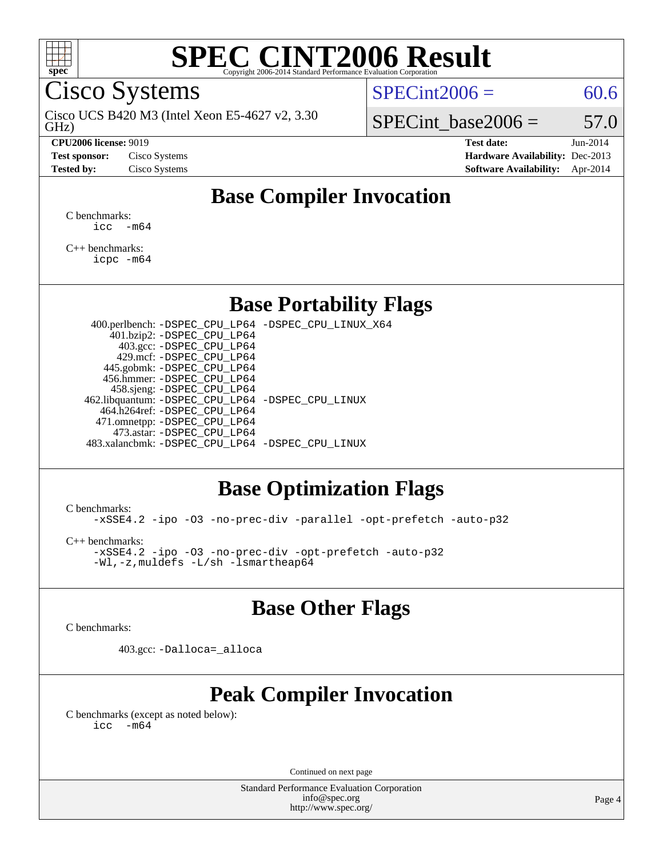

Cisco Systems

GHz) Cisco UCS B420 M3 (Intel Xeon E5-4627 v2, 3.30

#### **[CPU2006 license:](http://www.spec.org/auto/cpu2006/Docs/result-fields.html#CPU2006license)** 9019 **[Test date:](http://www.spec.org/auto/cpu2006/Docs/result-fields.html#Testdate)** Jun-2014

 $SPECint2006 = 60.6$  $SPECint2006 = 60.6$ 

SPECint base2006 =  $57.0$ 

**[Test sponsor:](http://www.spec.org/auto/cpu2006/Docs/result-fields.html#Testsponsor)** Cisco Systems **[Hardware Availability:](http://www.spec.org/auto/cpu2006/Docs/result-fields.html#HardwareAvailability)** Dec-2013 **[Tested by:](http://www.spec.org/auto/cpu2006/Docs/result-fields.html#Testedby)** Cisco Systems **[Software Availability:](http://www.spec.org/auto/cpu2006/Docs/result-fields.html#SoftwareAvailability)** Apr-2014

### **[Base Compiler Invocation](http://www.spec.org/auto/cpu2006/Docs/result-fields.html#BaseCompilerInvocation)**

[C benchmarks](http://www.spec.org/auto/cpu2006/Docs/result-fields.html#Cbenchmarks):  $\text{icc}$   $-\text{m64}$ 

[C++ benchmarks:](http://www.spec.org/auto/cpu2006/Docs/result-fields.html#CXXbenchmarks) [icpc -m64](http://www.spec.org/cpu2006/results/res2014q3/cpu2006-20140606-29831.flags.html#user_CXXbase_intel_icpc_64bit_fc66a5337ce925472a5c54ad6a0de310)

#### **[Base Portability Flags](http://www.spec.org/auto/cpu2006/Docs/result-fields.html#BasePortabilityFlags)**

 400.perlbench: [-DSPEC\\_CPU\\_LP64](http://www.spec.org/cpu2006/results/res2014q3/cpu2006-20140606-29831.flags.html#b400.perlbench_basePORTABILITY_DSPEC_CPU_LP64) [-DSPEC\\_CPU\\_LINUX\\_X64](http://www.spec.org/cpu2006/results/res2014q3/cpu2006-20140606-29831.flags.html#b400.perlbench_baseCPORTABILITY_DSPEC_CPU_LINUX_X64) 401.bzip2: [-DSPEC\\_CPU\\_LP64](http://www.spec.org/cpu2006/results/res2014q3/cpu2006-20140606-29831.flags.html#suite_basePORTABILITY401_bzip2_DSPEC_CPU_LP64) 403.gcc: [-DSPEC\\_CPU\\_LP64](http://www.spec.org/cpu2006/results/res2014q3/cpu2006-20140606-29831.flags.html#suite_basePORTABILITY403_gcc_DSPEC_CPU_LP64) 429.mcf: [-DSPEC\\_CPU\\_LP64](http://www.spec.org/cpu2006/results/res2014q3/cpu2006-20140606-29831.flags.html#suite_basePORTABILITY429_mcf_DSPEC_CPU_LP64) 445.gobmk: [-DSPEC\\_CPU\\_LP64](http://www.spec.org/cpu2006/results/res2014q3/cpu2006-20140606-29831.flags.html#suite_basePORTABILITY445_gobmk_DSPEC_CPU_LP64) 456.hmmer: [-DSPEC\\_CPU\\_LP64](http://www.spec.org/cpu2006/results/res2014q3/cpu2006-20140606-29831.flags.html#suite_basePORTABILITY456_hmmer_DSPEC_CPU_LP64) 458.sjeng: [-DSPEC\\_CPU\\_LP64](http://www.spec.org/cpu2006/results/res2014q3/cpu2006-20140606-29831.flags.html#suite_basePORTABILITY458_sjeng_DSPEC_CPU_LP64) 462.libquantum: [-DSPEC\\_CPU\\_LP64](http://www.spec.org/cpu2006/results/res2014q3/cpu2006-20140606-29831.flags.html#suite_basePORTABILITY462_libquantum_DSPEC_CPU_LP64) [-DSPEC\\_CPU\\_LINUX](http://www.spec.org/cpu2006/results/res2014q3/cpu2006-20140606-29831.flags.html#b462.libquantum_baseCPORTABILITY_DSPEC_CPU_LINUX) 464.h264ref: [-DSPEC\\_CPU\\_LP64](http://www.spec.org/cpu2006/results/res2014q3/cpu2006-20140606-29831.flags.html#suite_basePORTABILITY464_h264ref_DSPEC_CPU_LP64) 471.omnetpp: [-DSPEC\\_CPU\\_LP64](http://www.spec.org/cpu2006/results/res2014q3/cpu2006-20140606-29831.flags.html#suite_basePORTABILITY471_omnetpp_DSPEC_CPU_LP64) 473.astar: [-DSPEC\\_CPU\\_LP64](http://www.spec.org/cpu2006/results/res2014q3/cpu2006-20140606-29831.flags.html#suite_basePORTABILITY473_astar_DSPEC_CPU_LP64) 483.xalancbmk: [-DSPEC\\_CPU\\_LP64](http://www.spec.org/cpu2006/results/res2014q3/cpu2006-20140606-29831.flags.html#suite_basePORTABILITY483_xalancbmk_DSPEC_CPU_LP64) [-DSPEC\\_CPU\\_LINUX](http://www.spec.org/cpu2006/results/res2014q3/cpu2006-20140606-29831.flags.html#b483.xalancbmk_baseCXXPORTABILITY_DSPEC_CPU_LINUX)

### **[Base Optimization Flags](http://www.spec.org/auto/cpu2006/Docs/result-fields.html#BaseOptimizationFlags)**

[C benchmarks](http://www.spec.org/auto/cpu2006/Docs/result-fields.html#Cbenchmarks):

[-xSSE4.2](http://www.spec.org/cpu2006/results/res2014q3/cpu2006-20140606-29831.flags.html#user_CCbase_f-xSSE42_f91528193cf0b216347adb8b939d4107) [-ipo](http://www.spec.org/cpu2006/results/res2014q3/cpu2006-20140606-29831.flags.html#user_CCbase_f-ipo) [-O3](http://www.spec.org/cpu2006/results/res2014q3/cpu2006-20140606-29831.flags.html#user_CCbase_f-O3) [-no-prec-div](http://www.spec.org/cpu2006/results/res2014q3/cpu2006-20140606-29831.flags.html#user_CCbase_f-no-prec-div) [-parallel](http://www.spec.org/cpu2006/results/res2014q3/cpu2006-20140606-29831.flags.html#user_CCbase_f-parallel) [-opt-prefetch](http://www.spec.org/cpu2006/results/res2014q3/cpu2006-20140606-29831.flags.html#user_CCbase_f-opt-prefetch) [-auto-p32](http://www.spec.org/cpu2006/results/res2014q3/cpu2006-20140606-29831.flags.html#user_CCbase_f-auto-p32)

[C++ benchmarks:](http://www.spec.org/auto/cpu2006/Docs/result-fields.html#CXXbenchmarks)

[-xSSE4.2](http://www.spec.org/cpu2006/results/res2014q3/cpu2006-20140606-29831.flags.html#user_CXXbase_f-xSSE42_f91528193cf0b216347adb8b939d4107) [-ipo](http://www.spec.org/cpu2006/results/res2014q3/cpu2006-20140606-29831.flags.html#user_CXXbase_f-ipo) [-O3](http://www.spec.org/cpu2006/results/res2014q3/cpu2006-20140606-29831.flags.html#user_CXXbase_f-O3) [-no-prec-div](http://www.spec.org/cpu2006/results/res2014q3/cpu2006-20140606-29831.flags.html#user_CXXbase_f-no-prec-div) [-opt-prefetch](http://www.spec.org/cpu2006/results/res2014q3/cpu2006-20140606-29831.flags.html#user_CXXbase_f-opt-prefetch) [-auto-p32](http://www.spec.org/cpu2006/results/res2014q3/cpu2006-20140606-29831.flags.html#user_CXXbase_f-auto-p32) [-Wl,-z,muldefs](http://www.spec.org/cpu2006/results/res2014q3/cpu2006-20140606-29831.flags.html#user_CXXbase_link_force_multiple1_74079c344b956b9658436fd1b6dd3a8a) [-L/sh -lsmartheap64](http://www.spec.org/cpu2006/results/res2014q3/cpu2006-20140606-29831.flags.html#user_CXXbase_SmartHeap64_ed4ef857ce90951921efb0d91eb88472)

### **[Base Other Flags](http://www.spec.org/auto/cpu2006/Docs/result-fields.html#BaseOtherFlags)**

[C benchmarks](http://www.spec.org/auto/cpu2006/Docs/result-fields.html#Cbenchmarks):

403.gcc: [-Dalloca=\\_alloca](http://www.spec.org/cpu2006/results/res2014q3/cpu2006-20140606-29831.flags.html#b403.gcc_baseEXTRA_CFLAGS_Dalloca_be3056838c12de2578596ca5467af7f3)

## **[Peak Compiler Invocation](http://www.spec.org/auto/cpu2006/Docs/result-fields.html#PeakCompilerInvocation)**

[C benchmarks \(except as noted below\)](http://www.spec.org/auto/cpu2006/Docs/result-fields.html#Cbenchmarksexceptasnotedbelow):  $\text{icc}$  -m64

Continued on next page

Standard Performance Evaluation Corporation [info@spec.org](mailto:info@spec.org) <http://www.spec.org/>

Page 4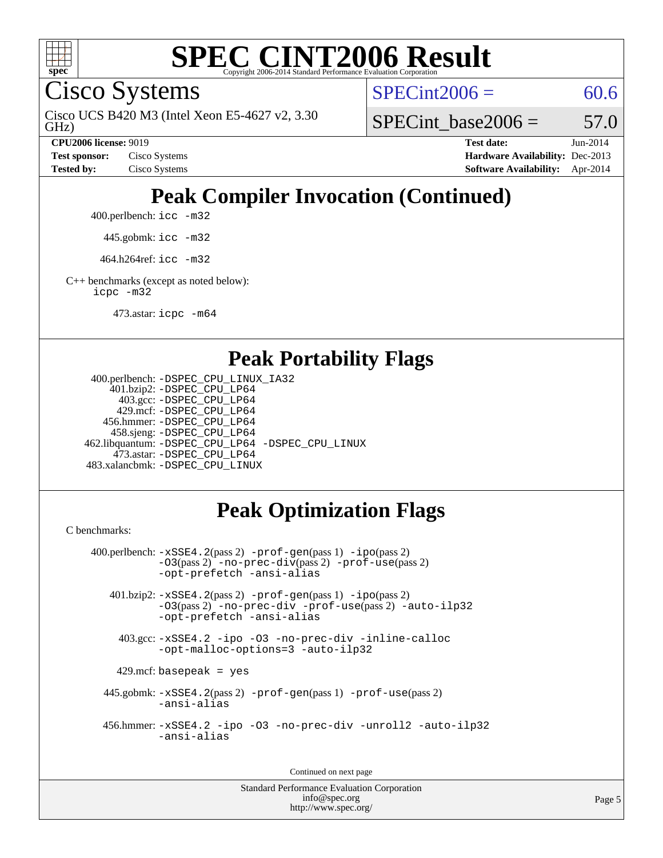

Cisco Systems

GHz) Cisco UCS B420 M3 (Intel Xeon E5-4627 v2, 3.30  $SPECint2006 = 60.6$  $SPECint2006 = 60.6$ 

SPECint base2006 =  $57.0$ 

**[CPU2006 license:](http://www.spec.org/auto/cpu2006/Docs/result-fields.html#CPU2006license)** 9019 **[Test date:](http://www.spec.org/auto/cpu2006/Docs/result-fields.html#Testdate)** Jun-2014 **[Test sponsor:](http://www.spec.org/auto/cpu2006/Docs/result-fields.html#Testsponsor)** Cisco Systems **[Hardware Availability:](http://www.spec.org/auto/cpu2006/Docs/result-fields.html#HardwareAvailability)** Dec-2013 **[Tested by:](http://www.spec.org/auto/cpu2006/Docs/result-fields.html#Testedby)** Cisco Systems **[Software Availability:](http://www.spec.org/auto/cpu2006/Docs/result-fields.html#SoftwareAvailability)** Apr-2014

# **[Peak Compiler Invocation \(Continued\)](http://www.spec.org/auto/cpu2006/Docs/result-fields.html#PeakCompilerInvocation)**

400.perlbench: [icc -m32](http://www.spec.org/cpu2006/results/res2014q3/cpu2006-20140606-29831.flags.html#user_peakCCLD400_perlbench_intel_icc_a6a621f8d50482236b970c6ac5f55f93)

445.gobmk: [icc -m32](http://www.spec.org/cpu2006/results/res2014q3/cpu2006-20140606-29831.flags.html#user_peakCCLD445_gobmk_intel_icc_a6a621f8d50482236b970c6ac5f55f93)

464.h264ref: [icc -m32](http://www.spec.org/cpu2006/results/res2014q3/cpu2006-20140606-29831.flags.html#user_peakCCLD464_h264ref_intel_icc_a6a621f8d50482236b970c6ac5f55f93)

[C++ benchmarks \(except as noted below\):](http://www.spec.org/auto/cpu2006/Docs/result-fields.html#CXXbenchmarksexceptasnotedbelow) [icpc -m32](http://www.spec.org/cpu2006/results/res2014q3/cpu2006-20140606-29831.flags.html#user_CXXpeak_intel_icpc_4e5a5ef1a53fd332b3c49e69c3330699)

473.astar: [icpc -m64](http://www.spec.org/cpu2006/results/res2014q3/cpu2006-20140606-29831.flags.html#user_peakCXXLD473_astar_intel_icpc_64bit_fc66a5337ce925472a5c54ad6a0de310)

### **[Peak Portability Flags](http://www.spec.org/auto/cpu2006/Docs/result-fields.html#PeakPortabilityFlags)**

```
 400.perlbench: -DSPEC_CPU_LINUX_IA32
     401.bzip2: -DSPEC_CPU_LP64
       403.gcc: -DSPEC_CPU_LP64
      429.mcf: -DSPEC_CPU_LP64
    456.hmmer: -DSPEC_CPU_LP64
     458.sjeng: -DSPEC_CPU_LP64
 462.libquantum: -DSPEC_CPU_LP64 -DSPEC_CPU_LINUX
      473.astar: -DSPEC_CPU_LP64
 483.xalancbmk: -DSPEC_CPU_LINUX
```
# **[Peak Optimization Flags](http://www.spec.org/auto/cpu2006/Docs/result-fields.html#PeakOptimizationFlags)**

[C benchmarks](http://www.spec.org/auto/cpu2006/Docs/result-fields.html#Cbenchmarks):

```
 400.perlbench: -xSSE4.2(pass 2) -prof-gen(pass 1) -ipo(pass 2)
            -O3(pass 2) -no-prec-div(pass 2) -prof-use(pass 2)
           -opt-prefetch -ansi-alias
    401.bzip2: -xSSE4.2(pass 2) -prof-gen(pass 1) -ipo(pass 2)
            -O3(pass 2) -no-prec-div -prof-use(pass 2) -auto-ilp32
            -opt-prefetch -ansi-alias
     403.gcc: -xSSE4.2 -ipo -O3 -no-prec-div -inline-calloc
            -opt-malloc-options=3 -auto-ilp32
    429.mcf: basepeak = yes
   445.gobmk: -xSSE4.2(pass 2) -prof-gen(pass 1) -prof-use(pass 2)
            -ansi-alias
   456.hmmer: -xSSE4.2 -ipo -O3 -no-prec-div -unroll2 -auto-ilp32
            -ansi-alias
```
Continued on next page

```
Standard Performance Evaluation Corporation
              info@spec.org
           http://www.spec.org/
```